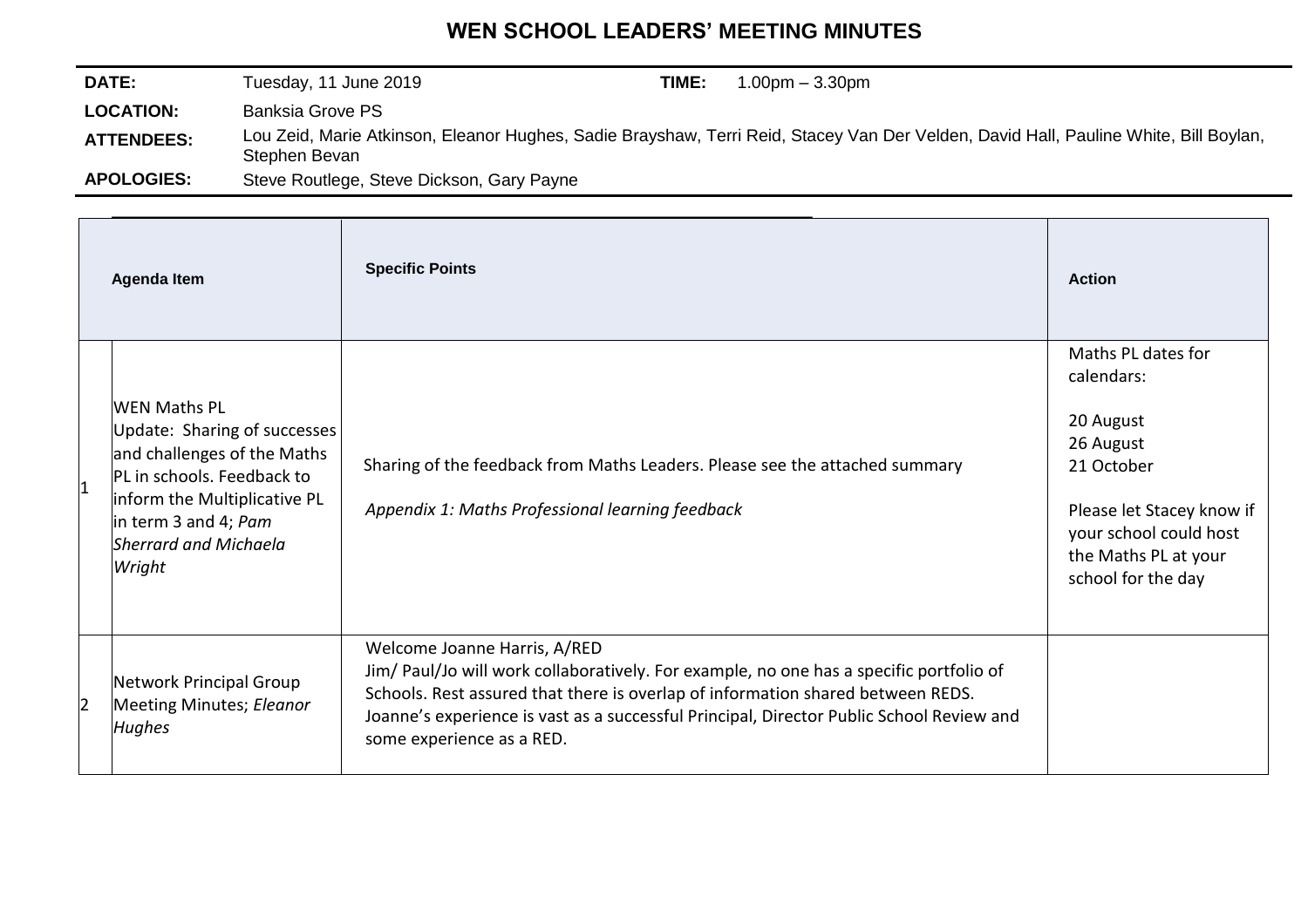## **WEN SCHOOL LEADERS' MEETING MINUTES**

| <b>DATE:</b>      | Tuesday, 11 June 2019                     | TIME: | $1.00pm - 3.30pm$                                                                                                                    |
|-------------------|-------------------------------------------|-------|--------------------------------------------------------------------------------------------------------------------------------------|
| <b>LOCATION:</b>  | <b>Banksia Grove PS</b>                   |       |                                                                                                                                      |
| <b>ATTENDEES:</b> | Stephen Bevan                             |       | Lou Zeid, Marie Atkinson, Eleanor Hughes, Sadie Brayshaw, Terri Reid, Stacey Van Der Velden, David Hall, Pauline White, Bill Boylan, |
| <b>APOLOGIES:</b> | Steve Routlege, Steve Dickson, Gary Payne |       |                                                                                                                                      |

| <b>Agenda Item</b>                                                                                                                                                                                          | <b>Specific Points</b>                                                                                                                                                                                                                                                                                                              | <b>Action</b>                                                                                                                                                                 |
|-------------------------------------------------------------------------------------------------------------------------------------------------------------------------------------------------------------|-------------------------------------------------------------------------------------------------------------------------------------------------------------------------------------------------------------------------------------------------------------------------------------------------------------------------------------|-------------------------------------------------------------------------------------------------------------------------------------------------------------------------------|
| <b>WEN Maths PL</b><br>Update: Sharing of successes<br>and challenges of the Maths<br>PL in schools. Feedback to<br>inform the Multiplicative PL<br>in term 3 and 4; Pam<br>Sherrard and Michaela<br>Wright | Sharing of the feedback from Maths Leaders. Please see the attached summary<br>Appendix 1: Maths Professional learning feedback                                                                                                                                                                                                     | Maths PL dates for<br>calendars:<br>20 August<br>26 August<br>21 October<br>Please let Stacey know if<br>your school could host<br>the Maths PL at your<br>school for the day |
| Network Principal Group<br>Meeting Minutes; Eleanor<br><b>Hughes</b>                                                                                                                                        | Welcome Joanne Harris, A/RED<br>Jim/ Paul/Jo will work collaboratively. For example, no one has a specific portfolio of<br>Schools. Rest assured that there is overlap of information shared between REDS.<br>Joanne's experience is vast as a successful Principal, Director Public School Review and<br>some experience as a RED. |                                                                                                                                                                               |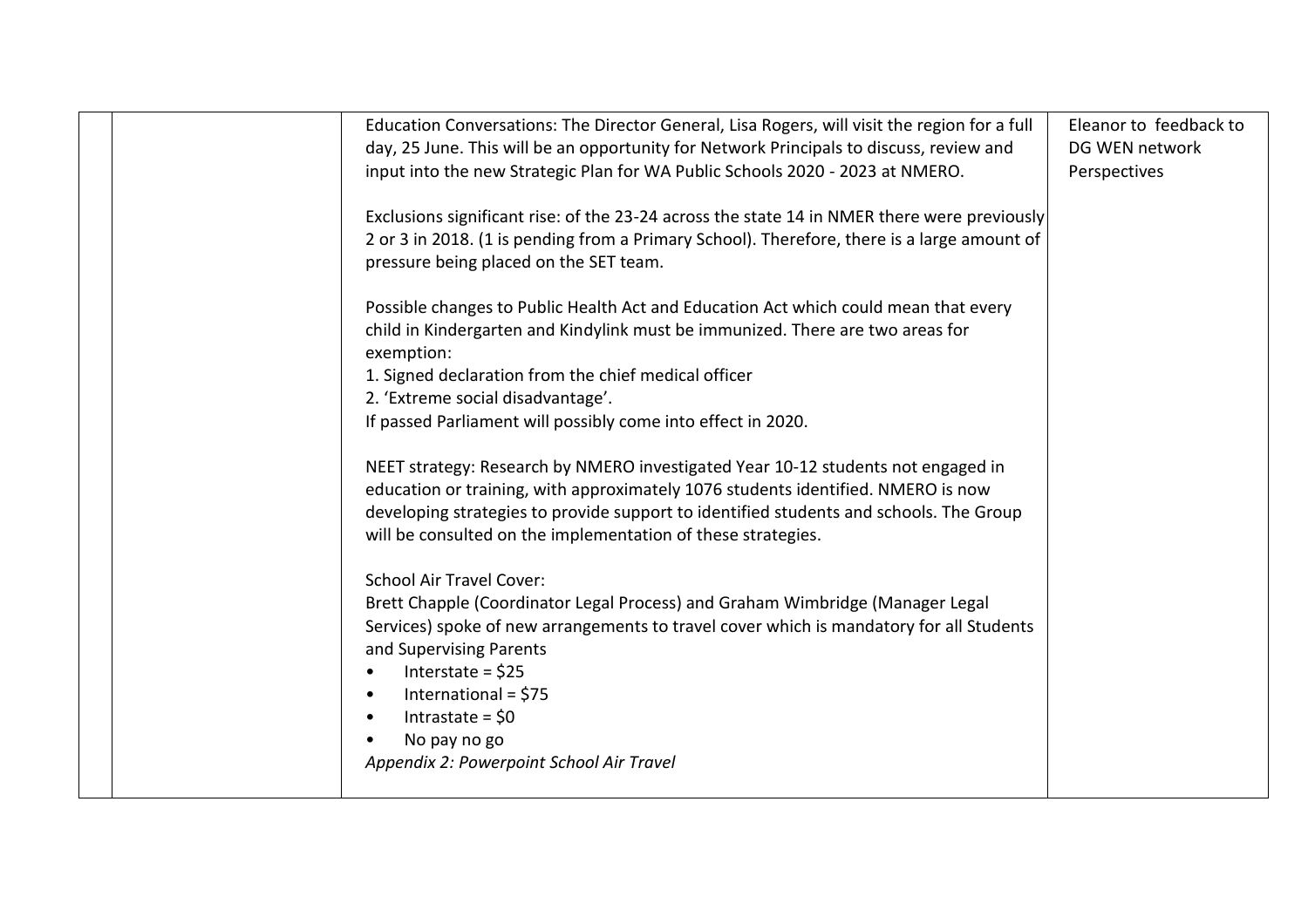| Education Conversations: The Director General, Lisa Rogers, will visit the region for a full<br>day, 25 June. This will be an opportunity for Network Principals to discuss, review and | Eleanor to feedback to<br>DG WEN network |
|-----------------------------------------------------------------------------------------------------------------------------------------------------------------------------------------|------------------------------------------|
| input into the new Strategic Plan for WA Public Schools 2020 - 2023 at NMERO.                                                                                                           | Perspectives                             |
| Exclusions significant rise: of the 23-24 across the state 14 in NMER there were previously                                                                                             |                                          |
| 2 or 3 in 2018. (1 is pending from a Primary School). Therefore, there is a large amount of<br>pressure being placed on the SET team.                                                   |                                          |
|                                                                                                                                                                                         |                                          |
| Possible changes to Public Health Act and Education Act which could mean that every                                                                                                     |                                          |
| child in Kindergarten and Kindylink must be immunized. There are two areas for<br>exemption:                                                                                            |                                          |
| 1. Signed declaration from the chief medical officer                                                                                                                                    |                                          |
| 2. 'Extreme social disadvantage'.                                                                                                                                                       |                                          |
| If passed Parliament will possibly come into effect in 2020.                                                                                                                            |                                          |
| NEET strategy: Research by NMERO investigated Year 10-12 students not engaged in                                                                                                        |                                          |
| education or training, with approximately 1076 students identified. NMERO is now                                                                                                        |                                          |
| developing strategies to provide support to identified students and schools. The Group                                                                                                  |                                          |
| will be consulted on the implementation of these strategies.                                                                                                                            |                                          |
| <b>School Air Travel Cover:</b>                                                                                                                                                         |                                          |
| Brett Chapple (Coordinator Legal Process) and Graham Wimbridge (Manager Legal                                                                                                           |                                          |
| Services) spoke of new arrangements to travel cover which is mandatory for all Students                                                                                                 |                                          |
| and Supervising Parents<br>Interstate = $$25$<br>$\bullet$                                                                                                                              |                                          |
| International = $$75$<br>$\bullet$                                                                                                                                                      |                                          |
| Intrastate = $$0$<br>$\bullet$                                                                                                                                                          |                                          |
| No pay no go                                                                                                                                                                            |                                          |
| Appendix 2: Powerpoint School Air Travel                                                                                                                                                |                                          |
|                                                                                                                                                                                         |                                          |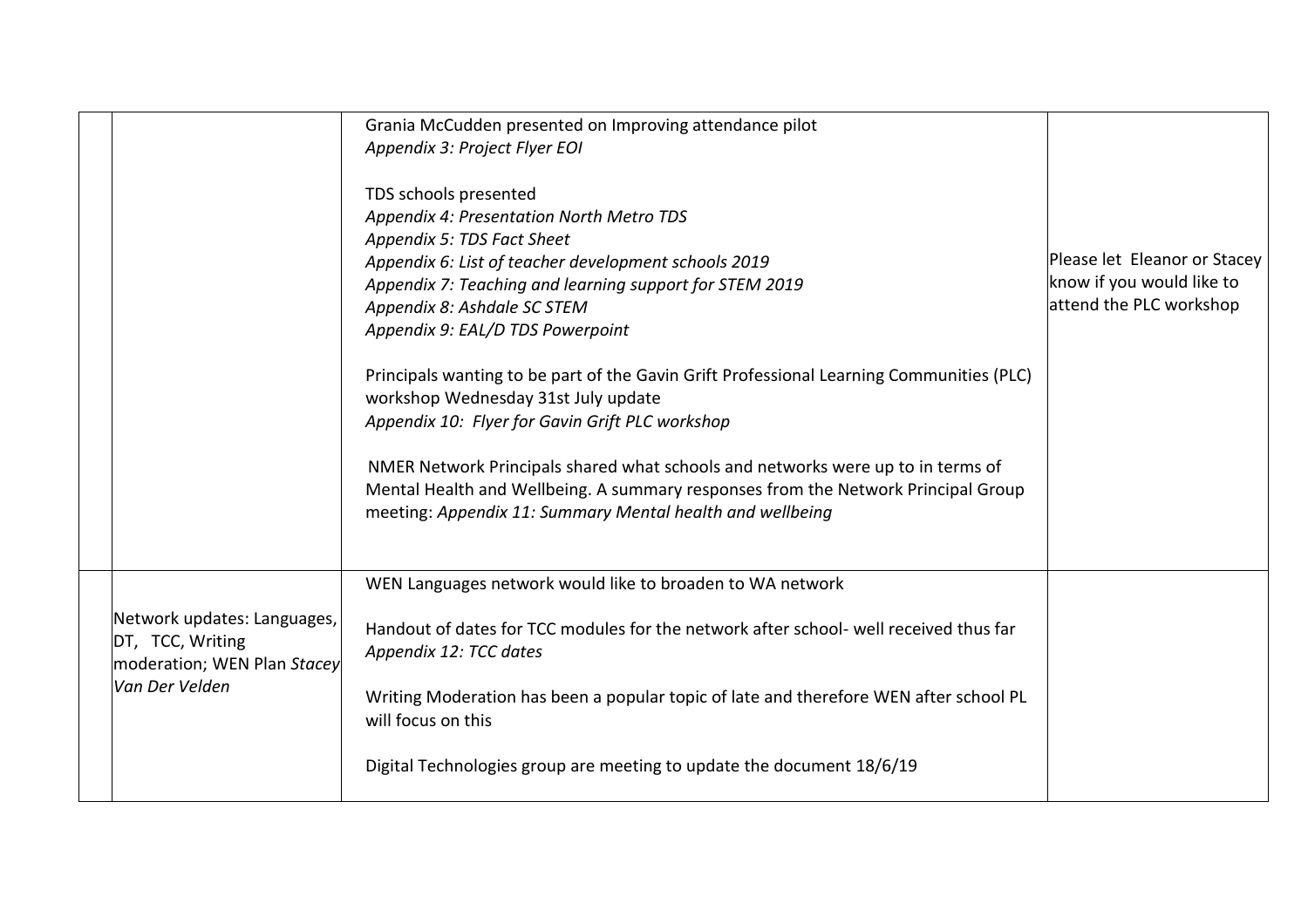|  |                                                                                | Grania McCudden presented on Improving attendance pilot<br>Appendix 3: Project Flyer EOI                                                                                                                                          |                                                      |
|--|--------------------------------------------------------------------------------|-----------------------------------------------------------------------------------------------------------------------------------------------------------------------------------------------------------------------------------|------------------------------------------------------|
|  |                                                                                | TDS schools presented<br>Appendix 4: Presentation North Metro TDS<br>Appendix 5: TDS Fact Sheet<br>Appendix 6: List of teacher development schools 2019                                                                           | Please let Eleanor or Stacey                         |
|  |                                                                                | Appendix 7: Teaching and learning support for STEM 2019<br>Appendix 8: Ashdale SC STEM<br>Appendix 9: EAL/D TDS Powerpoint                                                                                                        | know if you would like to<br>attend the PLC workshop |
|  |                                                                                | Principals wanting to be part of the Gavin Grift Professional Learning Communities (PLC)<br>workshop Wednesday 31st July update<br>Appendix 10: Flyer for Gavin Grift PLC workshop                                                |                                                      |
|  |                                                                                | NMER Network Principals shared what schools and networks were up to in terms of<br>Mental Health and Wellbeing. A summary responses from the Network Principal Group<br>meeting: Appendix 11: Summary Mental health and wellbeing |                                                      |
|  |                                                                                | WEN Languages network would like to broaden to WA network                                                                                                                                                                         |                                                      |
|  | Network updates: Languages,<br>DT, TCC, Writing<br>moderation; WEN Plan Stacey | Handout of dates for TCC modules for the network after school- well received thus far<br>Appendix 12: TCC dates                                                                                                                   |                                                      |
|  | Van Der Velden                                                                 | Writing Moderation has been a popular topic of late and therefore WEN after school PL<br>will focus on this                                                                                                                       |                                                      |
|  |                                                                                | Digital Technologies group are meeting to update the document 18/6/19                                                                                                                                                             |                                                      |